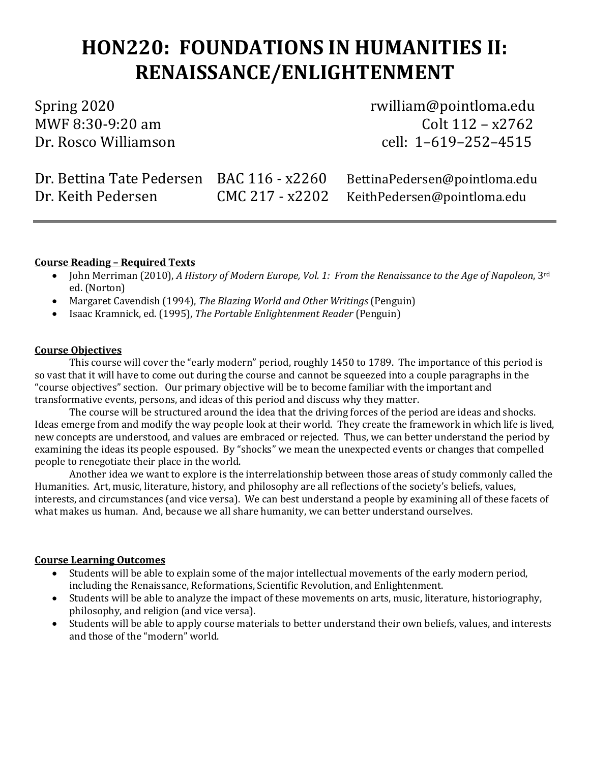# **HON220: FOUNDATIONS IN HUMANITIES II: RENAISSANCE/ENLIGHTENMENT**

MWF 8:30-9:20 am<br>Dr. Rosco Williamson

Spring 2020 rwilliam@pointloma.edu cell: 1–619–252–4515

| Dr. Bettina Tate Pedersen BAC 116 - x2260 | BettinaPedersen@pointloma.edu                 |
|-------------------------------------------|-----------------------------------------------|
| Dr. Keith Pedersen                        | $CMC 217 - x2202$ KeithPedersen@pointloma.edu |

### **Course Reading – Required Texts**

- John Merriman (2010), *A History of Modern Europe, Vol. 1: From the Renaissance to the Age of Napoleon*, 3rd ed. (Norton)
- Margaret Cavendish (1994), *The Blazing World and Other Writings* (Penguin)
- Isaac Kramnick, ed. (1995), *The Portable Enlightenment Reader* (Penguin)

### **Course Objectives**

This course will cover the "early modern" period, roughly 1450 to 1789. The importance of this period is so vast that it will have to come out during the course and cannot be squeezed into a couple paragraphs in the "course objectives" section. Our primary objective will be to become familiar with the important and transformative events, persons, and ideas of this period and discuss why they matter.

The course will be structured around the idea that the driving forces of the period are ideas and shocks. Ideas emerge from and modify the way people look at their world. They create the framework in which life is lived, new concepts are understood, and values are embraced or rejected. Thus, we can better understand the period by examining the ideas its people espoused. By "shocks" we mean the unexpected events or changes that compelled people to renegotiate their place in the world.

Another idea we want to explore is the interrelationship between those areas of study commonly called the Humanities. Art, music, literature, history, and philosophy are all reflections of the society's beliefs, values, interests, and circumstances (and vice versa). We can best understand a people by examining all of these facets of what makes us human. And, because we all share humanity, we can better understand ourselves.

### **Course Learning Outcomes**

- Students will be able to explain some of the major intellectual movements of the early modern period, including the Renaissance, Reformations, Scientific Revolution, and Enlightenment.
- Students will be able to analyze the impact of these movements on arts, music, literature, historiography, philosophy, and religion (and vice versa).
- Students will be able to apply course materials to better understand their own beliefs, values, and interests and those of the "modern" world.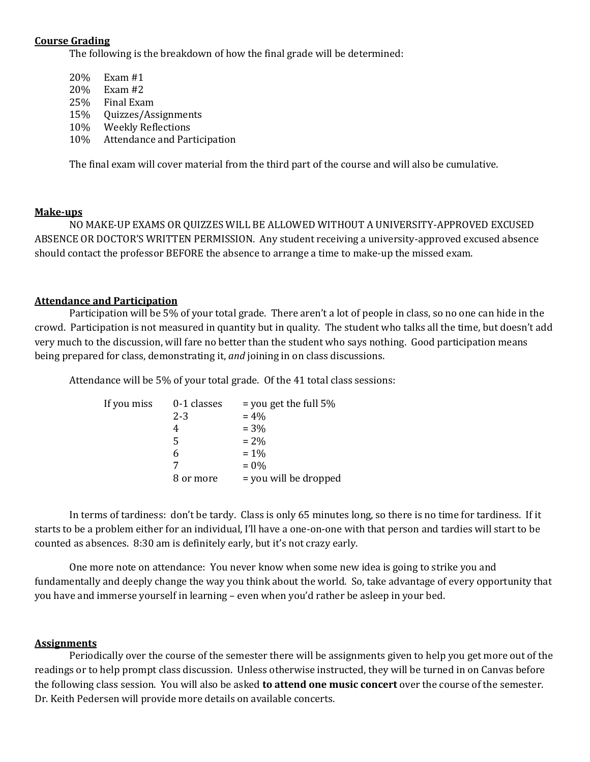### **Course Grading**

The following is the breakdown of how the final grade will be determined:

- 20% Exam #1<br>20% Exam #2 20% Exam #2<br>25% Final Exa Final Exam 15% Quizzes/Assignments 10% Weekly Reflections
- 10% Attendance and Participation

The final exam will cover material from the third part of the course and will also be cumulative.

### **Make-ups**

NO MAKE-UP EXAMS OR QUIZZES WILL BE ALLOWED WITHOUT A UNIVERSITY-APPROVED EXCUSED ABSENCE OR DOCTOR'S WRITTEN PERMISSION. Any student receiving a university-approved excused absence should contact the professor BEFORE the absence to arrange a time to make-up the missed exam.

### **Attendance and Participation**

Participation will be 5% of your total grade. There aren't a lot of people in class, so no one can hide in the crowd. Participation is not measured in quantity but in quality. The student who talks all the time, but doesn't add very much to the discussion, will fare no better than the student who says nothing. Good participation means being prepared for class, demonstrating it, *and* joining in on class discussions.

Attendance will be 5% of your total grade. Of the 41 total class sessions:

| If you miss | 0-1 classes | $=$ you get the full 5% |
|-------------|-------------|-------------------------|
|             | $2 - 3$     | $= 4\%$                 |
|             | 4           | $= 3\%$                 |
|             | 5           | $= 2\%$                 |
|             | 6           | $= 1\%$                 |
|             |             | $= 0\%$                 |
|             | 8 or more   | = you will be dropped   |

In terms of tardiness: don't be tardy. Class is only 65 minutes long, so there is no time for tardiness. If it starts to be a problem either for an individual, I'll have a one-on-one with that person and tardies will start to be counted as absences. 8:30 am is definitely early, but it's not crazy early.

One more note on attendance: You never know when some new idea is going to strike you and fundamentally and deeply change the way you think about the world. So, take advantage of every opportunity that you have and immerse yourself in learning – even when you'd rather be asleep in your bed.

### **Assignments**

Periodically over the course of the semester there will be assignments given to help you get more out of the readings or to help prompt class discussion. Unless otherwise instructed, they will be turned in on Canvas before the following class session. You will also be asked **to attend one music concert** over the course of the semester. Dr. Keith Pedersen will provide more details on available concerts.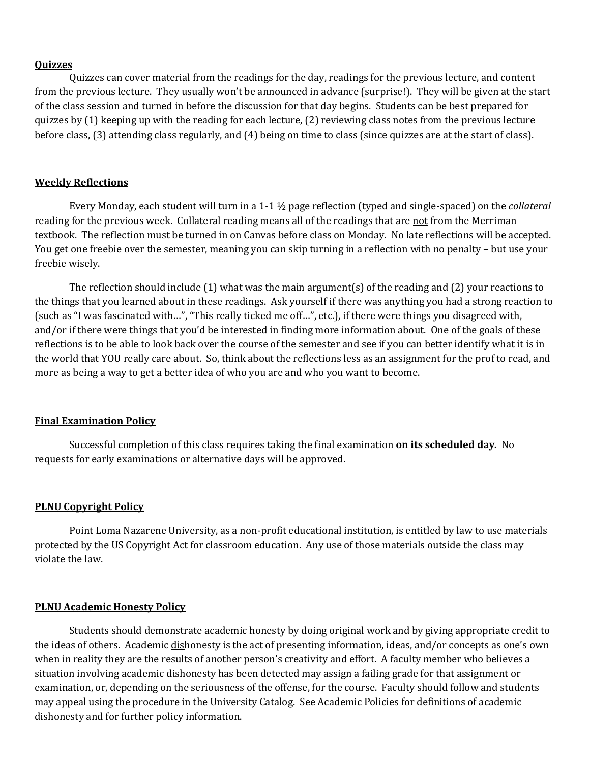### **Quizzes**

Quizzes can cover material from the readings for the day, readings for the previous lecture, and content from the previous lecture. They usually won't be announced in advance (surprise!). They will be given at the start of the class session and turned in before the discussion for that day begins. Students can be best prepared for quizzes by (1) keeping up with the reading for each lecture, (2) reviewing class notes from the previous lecture before class, (3) attending class regularly, and (4) being on time to class (since quizzes are at the start of class).

### **Weekly Reflections**

Every Monday, each student will turn in a 1-1 ½ page reflection (typed and single-spaced) on the *collateral* reading for the previous week. Collateral reading means all of the readings that are not from the Merriman textbook. The reflection must be turned in on Canvas before class on Monday. No late reflections will be accepted. You get one freebie over the semester, meaning you can skip turning in a reflection with no penalty – but use your freebie wisely.

The reflection should include (1) what was the main argument(s) of the reading and (2) your reactions to the things that you learned about in these readings. Ask yourself if there was anything you had a strong reaction to (such as "I was fascinated with…", "This really ticked me off…", etc.), if there were things you disagreed with, and/or if there were things that you'd be interested in finding more information about. One of the goals of these reflections is to be able to look back over the course of the semester and see if you can better identify what it is in the world that YOU really care about. So, think about the reflections less as an assignment for the prof to read, and more as being a way to get a better idea of who you are and who you want to become.

### **Final Examination Policy**

Successful completion of this class requires taking the final examination **on its scheduled day***.* No requests for early examinations or alternative days will be approved.

### **PLNU Copyright Policy**

Point Loma Nazarene University, as a non-profit educational institution, is entitled by law to use materials protected by the US Copyright Act for classroom education. Any use of those materials outside the class may violate the law.

### **PLNU Academic Honesty Policy**

Students should demonstrate academic honesty by doing original work and by giving appropriate credit to the ideas of others. Academic dishonesty is the act of presenting information, ideas, and/or concepts as one's own when in reality they are the results of another person's creativity and effort. A faculty member who believes a situation involving academic dishonesty has been detected may assign a failing grade for that assignment or examination, or, depending on the seriousness of the offense, for the course. Faculty should follow and students may appeal using the procedure in the University Catalog. See Academic Policies for definitions of academic dishonesty and for further policy information.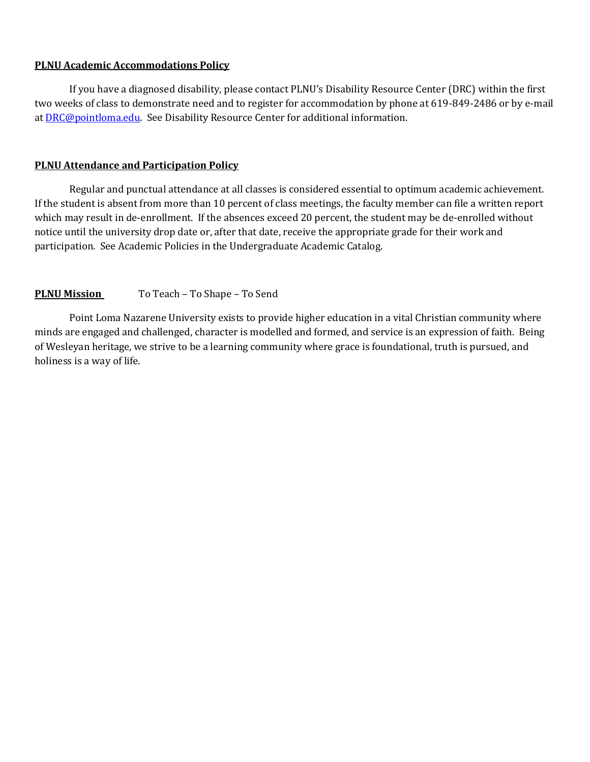### **PLNU Academic Accommodations Policy**

If you have a diagnosed disability, please contact PLNU's Disability Resource Center (DRC) within the first two weeks of class to demonstrate need and to register for accommodation by phone at 619-849-2486 or by e-mail a[t DRC@pointloma.edu.](mailto:DRC@pointloma.edu) See Disability Resource Center for additional information.

### **PLNU Attendance and Participation Policy**

Regular and punctual attendance at all classes is considered essential to optimum academic achievement. If the student is absent from more than 10 percent of class meetings, the faculty member can file a written report which may result in de-enrollment. If the absences exceed 20 percent, the student may be de-enrolled without notice until the university drop date or, after that date, receive the appropriate grade for their work and participation. See Academic Policies in the Undergraduate Academic Catalog.

### **PLNU Mission** To Teach – To Shape – To Send

Point Loma Nazarene University exists to provide higher education in a vital Christian community where minds are engaged and challenged, character is modelled and formed, and service is an expression of faith. Being of Wesleyan heritage, we strive to be a learning community where grace is foundational, truth is pursued, and holiness is a way of life.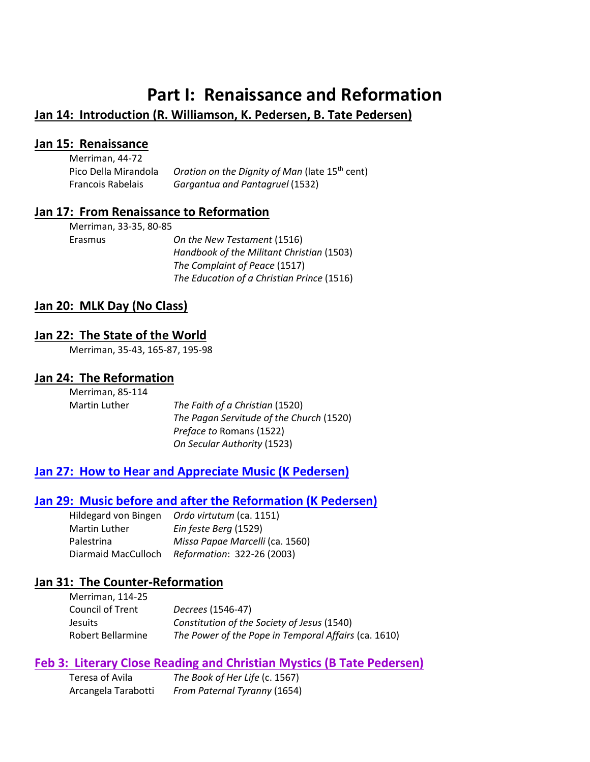# **Part I: Renaissance and Reformation**

# **Jan 14: Introduction (R. Williamson, K. Pedersen, B. Tate Pedersen)**

### **Jan 15: Renaissance**

| Merriman, 44-72          |                                                            |
|--------------------------|------------------------------------------------------------|
| Pico Della Mirandola     | Oration on the Dignity of Man (late 15 <sup>th</sup> cent) |
| <b>Francois Rabelais</b> | Gargantua and Pantagruel (1532)                            |

### **Jan 17: From Renaissance to Reformation**

| Merriman, 33-35, 80-85 |                                            |
|------------------------|--------------------------------------------|
| Erasmus                | On the New Testament (1516)                |
|                        | Handbook of the Militant Christian (1503)  |
|                        | The Complaint of Peace (1517)              |
|                        | The Education of a Christian Prince (1516) |

## **Jan 20: MLK Day (No Class)**

## **Jan 22: The State of the World**

Merriman, 35-43, 165-87, 195-98

# **Jan 24: The Reformation**

| Merriman, 85-114     |                                          |
|----------------------|------------------------------------------|
| <b>Martin Luther</b> | The Faith of a Christian (1520)          |
|                      | The Pagan Servitude of the Church (1520) |
|                      | <i>Preface to Romans (1522)</i>          |
|                      | On Secular Authority (1523)              |

# **Jan 27: How to Hear and Appreciate Music (K Pedersen)**

## **Jan 29: Music before and after the Reformation (K Pedersen)**

| Hildegard von Bingen | Ordo virtutum (ca. 1151)        |
|----------------------|---------------------------------|
| <b>Martin Luther</b> | Ein feste Berg (1529)           |
| Palestrina           | Missa Papae Marcelli (ca. 1560) |
| Diarmaid MacCulloch  | Reformation: 322-26 (2003)      |

## **Jan 31: The Counter-Reformation**

| Merriman, 114-25  |                                                      |
|-------------------|------------------------------------------------------|
| Council of Trent  | <i>Decrees</i> (1546-47)                             |
| <b>Jesuits</b>    | Constitution of the Society of Jesus (1540)          |
| Robert Bellarmine | The Power of the Pope in Temporal Affairs (ca. 1610) |

## **Feb 3: Literary Close Reading and Christian Mystics (B Tate Pedersen)**

| Teresa of Avila     | The Book of Her Life (c. 1567) |
|---------------------|--------------------------------|
| Arcangela Tarabotti | From Paternal Tyranny (1654)   |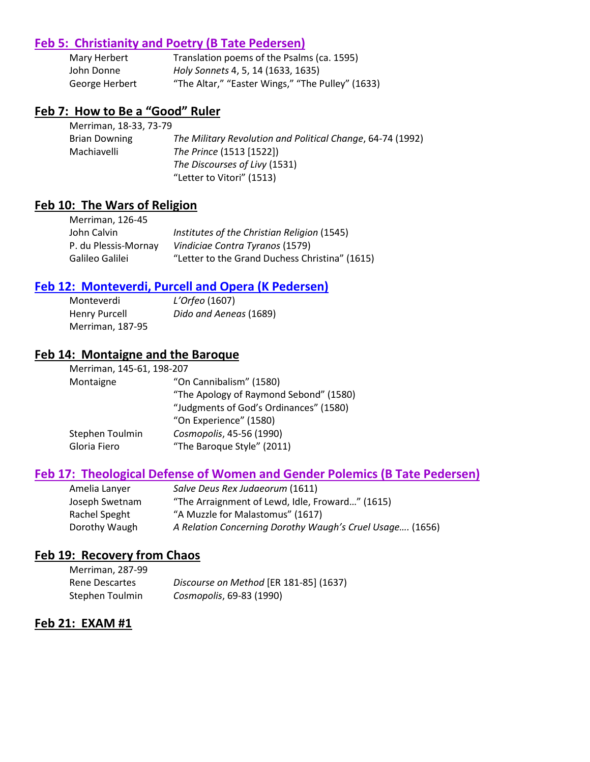## **Feb 5: Christianity and Poetry (B Tate Pedersen)**

| Mary Herbert   | Translation poems of the Psalms (ca. 1595)       |
|----------------|--------------------------------------------------|
| John Donne     | Holy Sonnets 4, 5, 14 (1633, 1635)               |
| George Herbert | "The Altar," "Easter Wings," "The Pulley" (1633) |

## **Feb 7: How to Be a "Good" Ruler**

| Merriman, 18-33, 73-79 |                                                            |
|------------------------|------------------------------------------------------------|
| <b>Brian Downing</b>   | The Military Revolution and Political Change, 64-74 (1992) |
| Machiavelli            | The Prince (1513 [1522])                                   |
|                        | The Discourses of Livy (1531)                              |
|                        | "Letter to Vitori" (1513)                                  |

# **Feb 10: The Wars of Religion**

| Merriman, 126-45     |                                                |
|----------------------|------------------------------------------------|
| John Calvin          | Institutes of the Christian Religion (1545)    |
| P. du Plessis-Mornay | Vindiciae Contra Tyranos (1579)                |
| Galileo Galilei      | "Letter to the Grand Duchess Christina" (1615) |

## **Feb 12: Monteverdi, Purcell and Opera (K Pedersen)**

| Monteverdi           | L'Orfeo (1607)         |
|----------------------|------------------------|
| <b>Henry Purcell</b> | Dido and Aeneas (1689) |
| Merriman, 187-95     |                        |

# **Feb 14: Montaigne and the Baroque**

| Merriman, 145-61, 198-207 |                                        |
|---------------------------|----------------------------------------|
| Montaigne                 | "On Cannibalism" (1580)                |
|                           | "The Apology of Raymond Sebond" (1580) |
|                           | "Judgments of God's Ordinances" (1580) |
|                           | "On Experience" (1580)                 |
| Stephen Toulmin           | Cosmopolis, 45-56 (1990)               |
| Gloria Fiero              | "The Baroque Style" (2011)             |

# **Feb 17: Theological Defense of Women and Gender Polemics (B Tate Pedersen)**

| Amelia Lanyer  | Salve Deus Rex Judaeorum (1611)                          |
|----------------|----------------------------------------------------------|
| Joseph Swetnam | "The Arraignment of Lewd, Idle, Froward" (1615)          |
| Rachel Speght  | "A Muzzle for Malastomus" (1617)                         |
| Dorothy Waugh  | A Relation Concerning Dorothy Waugh's Cruel Usage (1656) |

# **Feb 19: Recovery from Chaos**

| Merriman, 287-99 |                                        |
|------------------|----------------------------------------|
| Rene Descartes   | Discourse on Method [ER 181-85] (1637) |
| Stephen Toulmin  | Cosmopolis, 69-83 (1990)               |

## **Feb 21: EXAM #1**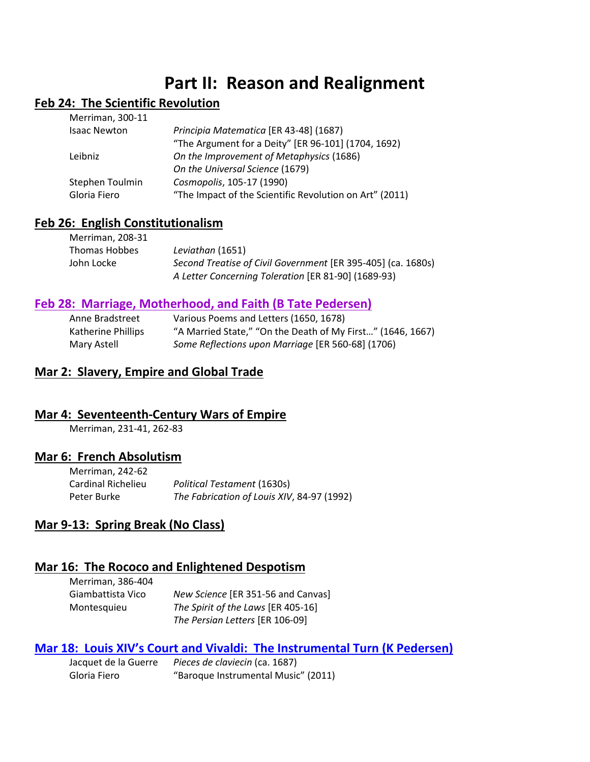# **Part II: Reason and Realignment**

# **Feb 24: The Scientific Revolution**

| Merriman, 300-11    |                                                         |
|---------------------|---------------------------------------------------------|
| <b>Isaac Newton</b> | Principia Matematica [ER 43-48] (1687)                  |
|                     | "The Argument for a Deity" [ER 96-101] (1704, 1692)     |
| Leibniz             | On the Improvement of Metaphysics (1686)                |
|                     | On the Universal Science (1679)                         |
| Stephen Toulmin     | Cosmopolis, 105-17 (1990)                               |
| Gloria Fiero        | "The Impact of the Scientific Revolution on Art" (2011) |
|                     |                                                         |
|                     |                                                         |

#### **Feb 26: English Constitutionalism** Merriman, 208-21

| Leviathan (1651)                                             |
|--------------------------------------------------------------|
| Second Treatise of Civil Government [ER 395-405] (ca. 1680s) |
| A Letter Concerning Toleration [ER 81-90] (1689-93)          |
|                                                              |

# **Feb 28: Marriage, Motherhood, and Faith (B Tate Pedersen)**

| Anne Bradstreet    | Various Poems and Letters (1650, 1678)                     |
|--------------------|------------------------------------------------------------|
| Katherine Phillips | "A Married State," "On the Death of My First" (1646, 1667) |
| Mary Astell        | Some Reflections upon Marriage [ER 560-68] (1706)          |

# **Mar 2: Slavery, Empire and Global Trade**

## **Mar 4: Seventeenth-Century Wars of Empire**

Merriman, 231-41, 262-83

### **Mar 6: French Absolutism**

| Merriman, 242-62   |                                            |
|--------------------|--------------------------------------------|
| Cardinal Richelieu | Political Testament (1630s)                |
| Peter Burke        | The Fabrication of Louis XIV, 84-97 (1992) |

# **Mar 9-13: Spring Break (No Class)**

## **Mar 16: The Rococo and Enlightened Despotism**

| Merriman, 386-404 |                                    |
|-------------------|------------------------------------|
| Giambattista Vico | New Science [ER 351-56 and Canvas] |
| Montesquieu       | The Spirit of the Laws [ER 405-16] |
|                   | The Persian Letters [ER 106-09]    |

## **Mar 18: Louis XIV's Court and Vivaldi: The Instrumental Turn (K Pedersen)**

Jacquet de la Guerre *Pieces de claviecin* (ca. 1687) Gloria Fiero "Baroque Instrumental Music" (2011)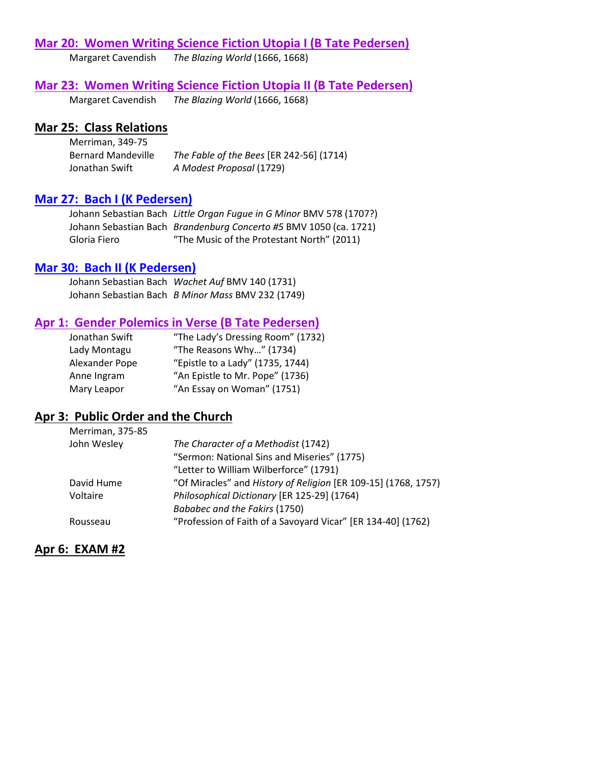## **Mar 20: Women Writing Science Fiction Utopia I (B Tate Pedersen)**

Margaret Cavendish *The Blazing World* (1666, 1668)

### **Mar 23: Women Writing Science Fiction Utopia II (B Tate Pedersen)**

Margaret Cavendish *The Blazing World* (1666, 1668)

### **Mar 25: Class Relations**

Merriman, 349-75 Bernard Mandeville *The Fable of the Bees* [ER 242-56] (1714) Jonathan Swift *A Modest Proposal* (1729)

## **Mar 27: Bach I (K Pedersen)**

Johann Sebastian Bach *Little Organ Fugue in G Minor* BMV 578 (1707?) Johann Sebastian Bach *Brandenburg Concerto #5* BMV 1050 (ca. 1721) Gloria Fiero "The Music of the Protestant North" (2011)

### **Mar 30: Bach II (K Pedersen)**

Johann Sebastian Bach *Wachet Auf* BMV 140 (1731) Johann Sebastian Bach *B Minor Mass* BMV 232 (1749)

## **Apr 1: Gender Polemics in Verse (B Tate Pedersen)**

| "The Lady's Dressing Room" (1732) |
|-----------------------------------|
| "The Reasons Why" (1734)          |
| "Epistle to a Lady" (1735, 1744)  |
| "An Epistle to Mr. Pope" (1736)   |
| "An Essay on Woman" (1751)        |
|                                   |

# **Apr 3: Public Order and the Church**

| Merriman, 375-85 |                                                                |
|------------------|----------------------------------------------------------------|
| John Wesley      | The Character of a Methodist (1742)                            |
|                  | "Sermon: National Sins and Miseries" (1775)                    |
|                  | "Letter to William Wilberforce" (1791)                         |
| David Hume       | "Of Miracles" and History of Religion [ER 109-15] (1768, 1757) |
| Voltaire         | Philosophical Dictionary [ER 125-29] (1764)                    |
|                  | Bababec and the Fakirs (1750)                                  |
| Rousseau         | "Profession of Faith of a Savoyard Vicar" [ER 134-40] (1762)   |

## **Apr 6: EXAM #2**